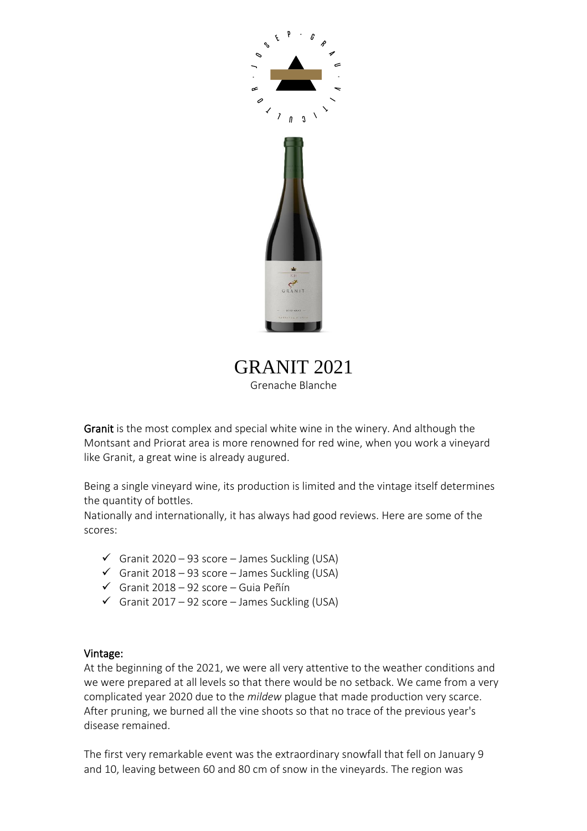

GRANIT 2021 Grenache Blanche

Granit is the most complex and special white wine in the winery. And although the Montsant and Priorat area is more renowned for red wine, when you work a vineyard like Granit, a great wine is already augured.

Being a single vineyard wine, its production is limited and the vintage itself determines the quantity of bottles.

Nationally and internationally, it has always had good reviews. Here are some of the scores:

- $\checkmark$  Granit 2020 93 score James Suckling (USA)
- $\checkmark$  Granit 2018 93 score James Suckling (USA)
- ✓ Granit 2018 92 score Guia Peñín
- $\checkmark$  Granit 2017 92 score James Suckling (USA)

#### Vintage:

At the beginning of the 2021, we were all very attentive to the weather conditions and we were prepared at all levels so that there would be no setback. We came from a very complicated year 2020 due to the *mildew* plague that made production very scarce. After pruning, we burned all the vine shoots so that no trace of the previous year's disease remained.

The first very remarkable event was the extraordinary snowfall that fell on January 9 and 10, leaving between 60 and 80 cm of snow in the vineyards. The region was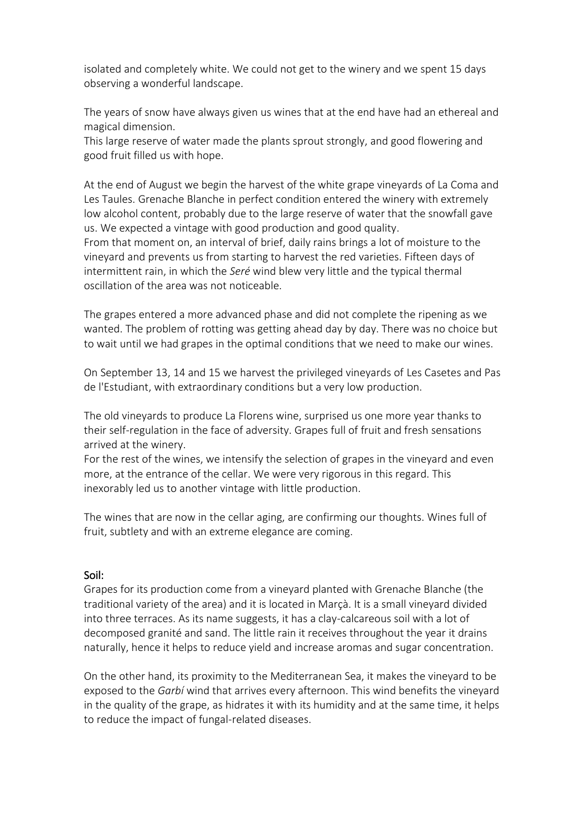isolated and completely white. We could not get to the winery and we spent 15 days observing a wonderful landscape.

The years of snow have always given us wines that at the end have had an ethereal and magical dimension.

This large reserve of water made the plants sprout strongly, and good flowering and good fruit filled us with hope.

At the end of August we begin the harvest of the white grape vineyards of La Coma and Les Taules. Grenache Blanche in perfect condition entered the winery with extremely low alcohol content, probably due to the large reserve of water that the snowfall gave us. We expected a vintage with good production and good quality.

From that moment on, an interval of brief, daily rains brings a lot of moisture to the vineyard and prevents us from starting to harvest the red varieties. Fifteen days of intermittent rain, in which the *Seré* wind blew very little and the typical thermal oscillation of the area was not noticeable.

The grapes entered a more advanced phase and did not complete the ripening as we wanted. The problem of rotting was getting ahead day by day. There was no choice but to wait until we had grapes in the optimal conditions that we need to make our wines.

On September 13, 14 and 15 we harvest the privileged vineyards of Les Casetes and Pas de l'Estudiant, with extraordinary conditions but a very low production.

The old vineyards to produce La Florens wine, surprised us one more year thanks to their self-regulation in the face of adversity. Grapes full of fruit and fresh sensations arrived at the winery.

For the rest of the wines, we intensify the selection of grapes in the vineyard and even more, at the entrance of the cellar. We were very rigorous in this regard. This inexorably led us to another vintage with little production.

The wines that are now in the cellar aging, are confirming our thoughts. Wines full of fruit, subtlety and with an extreme elegance are coming.

# Soil:

Grapes for its production come from a vineyard planted with Grenache Blanche (the traditional variety of the area) and it is located in Marçà. It is a small vineyard divided into three terraces. As its name suggests, it has a clay-calcareous soil with a lot of decomposed granité and sand. The little rain it receives throughout the year it drains naturally, hence it helps to reduce yield and increase aromas and sugar concentration.

On the other hand, its proximity to the Mediterranean Sea, it makes the vineyard to be exposed to the *Garbí* wind that arrives every afternoon. This wind benefits the vineyard in the quality of the grape, as hidrates it with its humidity and at the same time, it helps to reduce the impact of fungal-related diseases.